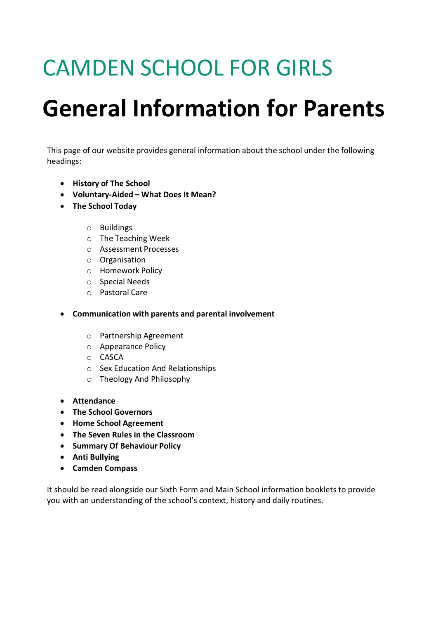# CAMDEN SCHOOL FOR GIRLS

# **General Information for Parents**

This page of our website provides general information about the school under the following headings:

- **History of The School**
- **Voluntary-Aided – What Does It Mean?**
- **The School Today**
	- o Buildings
	- o The Teaching Week
	- o Assessment Processes
	- o Organisation
	- o Homework Policy
	- o Special Needs
	- o Pastoral Care
- **Communication with parents and parental involvement**
	- o Partnership Agreement
	- o Appearance Policy
	- o CASCA
	- o Sex Education And Relationships
	- o Theology And Philosophy
- **Attendance**
- **The School Governors**
- **Home School Agreement**
- **The Seven Rules in the Classroom**
- **Summary Of Behaviour Policy**
- **Anti Bullying**
- **Camden Compass**

It should be read alongside our Sixth Form and Main School information booklets to provide you with an understanding of the school's context, history and daily routines.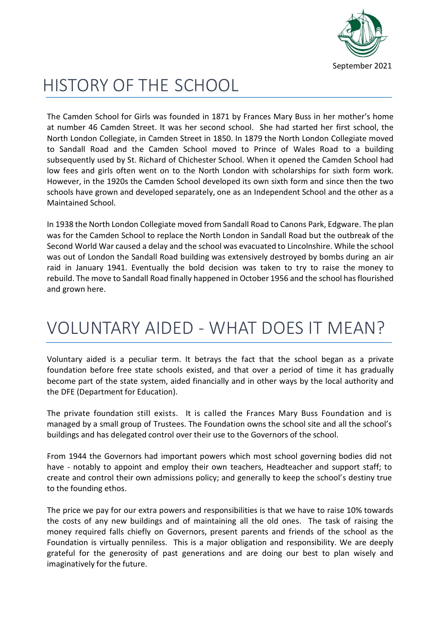

# HISTORY OF THE SCHOOL

The Camden School for Girls was founded in 1871 by Frances Mary Buss in her mother's home at number 46 Camden Street. It was her second school. She had started her first school, the North London Collegiate, in Camden Street in 1850. In 1879 the North London Collegiate moved to Sandall Road and the Camden School moved to Prince of Wales Road to a building subsequently used by St. Richard of Chichester School. When it opened the Camden School had low fees and girls often went on to the North London with scholarships for sixth form work. However, in the 1920s the Camden School developed its own sixth form and since then the two schools have grown and developed separately, one as an Independent School and the other as a Maintained School.

In 1938 the North London Collegiate moved from Sandall Road to Canons Park, Edgware. The plan was for the Camden School to replace the North London in Sandall Road but the outbreak of the Second World War caused a delay and the school was evacuated to Lincolnshire. While the school was out of London the Sandall Road building was extensively destroyed by bombs during an air raid in January 1941. Eventually the bold decision was taken to try to raise the money to rebuild. The move to Sandall Road finally happened in October 1956 and the school has flourished and grown here.

# VOLUNTARY AIDED - WHAT DOES IT MEAN?

Voluntary aided is a peculiar term. It betrays the fact that the school began as a private foundation before free state schools existed, and that over a period of time it has gradually become part of the state system, aided financially and in other ways by the local authority and the DFE (Department for Education).

The private foundation still exists. It is called the Frances Mary Buss Foundation and is managed by a small group of Trustees. The Foundation owns the school site and all the school's buildings and has delegated control over their use to the Governors of the school.

From 1944 the Governors had important powers which most school governing bodies did not have - notably to appoint and employ their own teachers, Headteacher and support staff; to create and control their own admissions policy; and generally to keep the school's destiny true to the founding ethos.

The price we pay for our extra powers and responsibilities is that we have to raise 10% towards the costs of any new buildings and of maintaining all the old ones. The task of raising the money required falls chiefly on Governors, present parents and friends of the school as the Foundation is virtually penniless. This is a major obligation and responsibility. We are deeply grateful for the generosity of past generations and are doing our best to plan wisely and imaginatively for the future.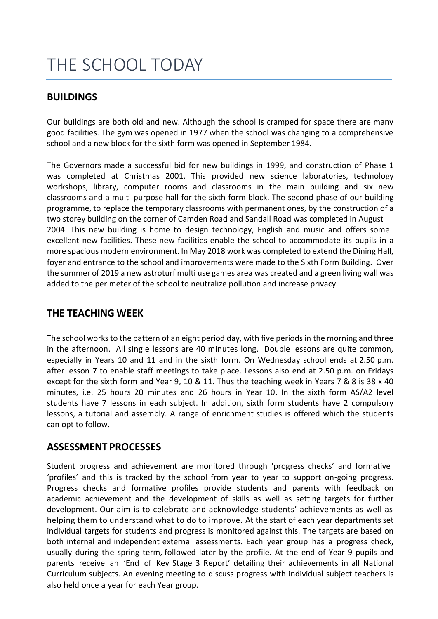# THE SCHOOL TODAY

#### **BUILDINGS**

Our buildings are both old and new. Although the school is cramped for space there are many good facilities. The gym was opened in 1977 when the school was changing to a comprehensive school and a new block for the sixth form was opened in September 1984.

The Governors made a successful bid for new buildings in 1999, and construction of Phase 1 was completed at Christmas 2001. This provided new science laboratories, technology workshops, library, computer rooms and classrooms in the main building and six new classrooms and a multi-purpose hall for the sixth form block. The second phase of our building programme, to replace the temporary classrooms with permanent ones, by the construction of a two storey building on the corner of Camden Road and Sandall Road was completed in August 2004. This new building is home to design technology, English and music and offers some excellent new facilities. These new facilities enable the school to accommodate its pupils in a more spacious modern environment. In May 2018 work was completed to extend the Dining Hall, foyer and entrance to the school and improvements were made to the Sixth Form Building. Over the summer of 2019 a new astroturf multi use games area was created and a green living wall was added to the perimeter of the school to neutralize pollution and increase privacy.

### **THE TEACHING WEEK**

The school works to the pattern of an eight period day, with five periods in the morning and three in the afternoon. All single lessons are 40 minutes long. Double lessons are quite common, especially in Years 10 and 11 and in the sixth form. On Wednesday school ends at 2.50 p.m. after lesson 7 to enable staff meetings to take place. Lessons also end at 2.50 p.m. on Fridays except for the sixth form and Year 9, 10 & 11. Thus the teaching week in Years 7 & 8 is 38 x 40 minutes, i.e. 25 hours 20 minutes and 26 hours in Year 10. In the sixth form AS/A2 level students have 7 lessons in each subject. In addition, sixth form students have 2 compulsory lessons, a tutorial and assembly. A range of enrichment studies is offered which the students can opt to follow.

### **ASSESSMENT PROCESSES**

Student progress and achievement are monitored through 'progress checks' and formative 'profiles' and this is tracked by the school from year to year to support on-going progress. Progress checks and formative profiles provide students and parents with feedback on academic achievement and the development of skills as well as setting targets for further development. Our aim is to celebrate and acknowledge students' achievements as well as helping them to understand what to do to improve. At the start of each year departments set individual targets for students and progress is monitored against this. The targets are based on both internal and independent external assessments. Each year group has a progress check, usually during the spring term, followed later by the profile. At the end of Year 9 pupils and parents receive an 'End of Key Stage 3 Report' detailing their achievements in all National Curriculum subjects. An evening meeting to discuss progress with individual subject teachers is also held once a year for each Year group.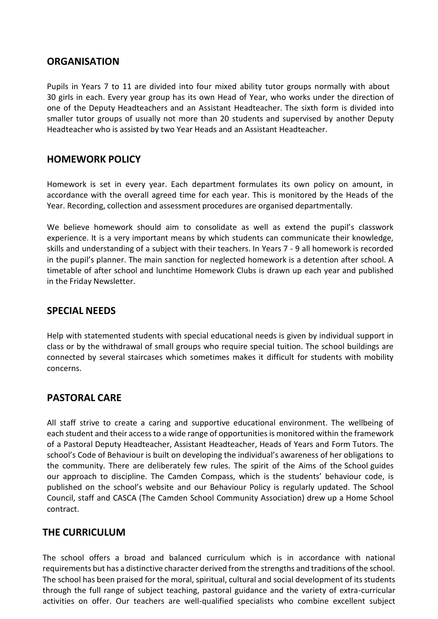#### **ORGANISATION**

Pupils in Years 7 to 11 are divided into four mixed ability tutor groups normally with about 30 girls in each. Every year group has its own Head of Year, who works under the direction of one of the Deputy Headteachers and an Assistant Headteacher. The sixth form is divided into smaller tutor groups of usually not more than 20 students and supervised by another Deputy Headteacher who is assisted by two Year Heads and an Assistant Headteacher.

### **HOMEWORK POLICY**

Homework is set in every year. Each department formulates its own policy on amount, in accordance with the overall agreed time for each year. This is monitored by the Heads of the Year. Recording, collection and assessment procedures are organised departmentally.

We believe homework should aim to consolidate as well as extend the pupil's classwork experience. It is a very important means by which students can communicate their knowledge, skills and understanding of a subject with their teachers. In Years 7 - 9 all homework is recorded in the pupil's planner. The main sanction for neglected homework is a detention after school. A timetable of after school and lunchtime Homework Clubs is drawn up each year and published in the Friday Newsletter.

### **SPECIAL NEEDS**

Help with statemented students with special educational needs is given by individual support in class or by the withdrawal of small groups who require special tuition. The school buildings are connected by several staircases which sometimes makes it difficult for students with mobility concerns.

### **PASTORAL CARE**

All staff strive to create a caring and supportive educational environment. The wellbeing of each student and their access to a wide range of opportunities is monitored within the framework of a Pastoral Deputy Headteacher, Assistant Headteacher, Heads of Years and Form Tutors. The school's Code of Behaviour is built on developing the individual's awareness of her obligations to the community. There are deliberately few rules. The spirit of the Aims of the School guides our approach to discipline. The Camden Compass, which is the students' behaviour code, is published on the school's website and our Behaviour Policy is regularly updated. The School Council, staff and CASCA (The Camden School Community Association) drew up a Home School contract.

### **THE CURRICULUM**

The school offers a broad and balanced curriculum which is in accordance with national requirements but has a distinctive character derived from the strengths and traditions of the school. The school has been praised for the moral, spiritual, cultural and social development of its students through the full range of subject teaching, pastoral guidance and the variety of extra-curricular activities on offer. Our teachers are well-qualified specialists who combine excellent subject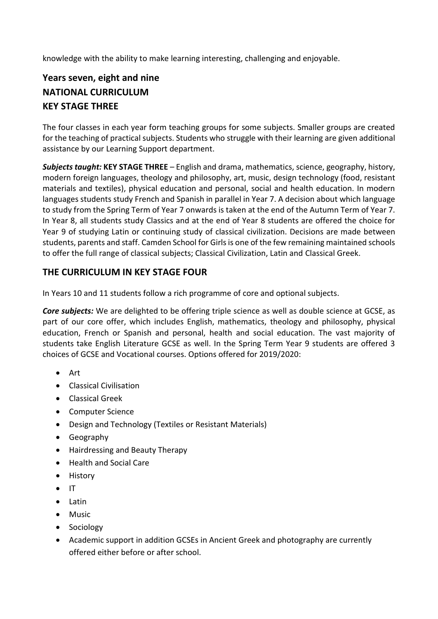knowledge with the ability to make learning interesting, challenging and enjoyable.

## **Years seven, eight and nine NATIONAL CURRICULUM KEY STAGE THREE**

The four classes in each year form teaching groups for some subjects. Smaller groups are created for the teaching of practical subjects. Students who struggle with their learning are given additional assistance by our Learning Support department.

*Subjects taught:* **KEY STAGE THREE** – English and drama, mathematics, science, geography, history, modern foreign languages, theology and philosophy, art, music, design technology (food, resistant materials and textiles), physical education and personal, social and health education. In modern languages students study French and Spanish in parallel in Year 7. A decision about which language to study from the Spring Term of Year 7 onwards is taken at the end of the Autumn Term of Year 7. In Year 8, all students study Classics and at the end of Year 8 students are offered the choice for Year 9 of studying Latin or continuing study of classical civilization. Decisions are made between students, parents and staff. Camden School for Girls is one of the few remaining maintained schools to offer the full range of classical subjects; Classical Civilization, Latin and Classical Greek.

### **THE CURRICULUM IN KEY STAGE FOUR**

In Years 10 and 11 students follow a rich programme of core and optional subjects.

*Core subjects:* We are delighted to be offering triple science as well as double science at GCSE, as part of our core offer, which includes English, mathematics, theology and philosophy, physical education, French or Spanish and personal, health and social education. The vast majority of students take English Literature GCSE as well. In the Spring Term Year 9 students are offered 3 choices of GCSE and Vocational courses. Options offered for 2019/2020:

- Art
- Classical Civilisation
- Classical Greek
- Computer Science
- Design and Technology (Textiles or Resistant Materials)
- Geography
- Hairdressing and Beauty Therapy
- Health and Social Care
- History
- IT
- Latin
- Music
- Sociology
- Academic support in addition GCSEs in Ancient Greek and photography are currently offered either before or after school.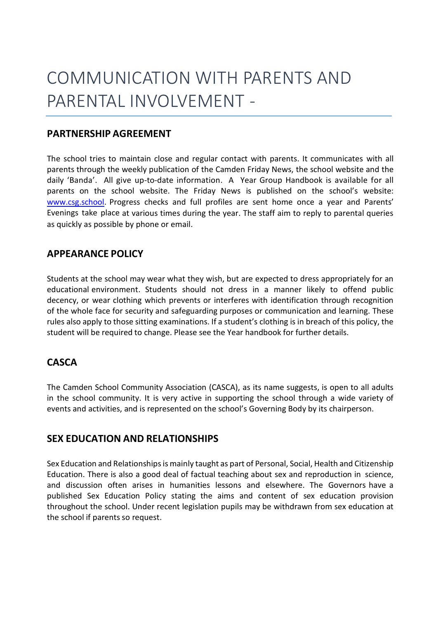# COMMUNICATION WITH PARENTS AND PARENTAL INVOLVEMENT -

### **PARTNERSHIP AGREEMENT**

The school tries to maintain close and regular contact with parents. It communicates with all parents through the weekly publication of the Camden Friday News, the school website and the daily 'Banda'. All give up-to-date information. A Year Group Handbook is available for all parents on the school website. The Friday News is published on the school's website: [www.csg.school.](http://www.csg.school/) Progress checks and full profiles are sent home once a year and Parents' Evenings take place at various times during the year. The staff aim to reply to parental queries as quickly as possible by phone or email.

### **APPEARANCE POLICY**

Students at the school may wear what they wish, but are expected to dress appropriately for an educational environment. Students should not dress in a manner likely to offend public decency, or wear clothing which prevents or interferes with identification through recognition of the whole face for security and safeguarding purposes or communication and learning. These rules also apply to those sitting examinations. If a student's clothing is in breach of this policy, the student will be required to change. Please see the Year handbook for further details.

### **CASCA**

The Camden School Community Association (CASCA), as its name suggests, is open to all adults in the school community. It is very active in supporting the school through a wide variety of events and activities, and is represented on the school's Governing Body by its chairperson.

### **SEX EDUCATION AND RELATIONSHIPS**

Sex Education and Relationships is mainly taught as part of Personal, Social, Health and Citizenship Education. There is also a good deal of factual teaching about sex and reproduction in science, and discussion often arises in humanities lessons and elsewhere. The Governors have a published Sex Education Policy stating the aims and content of sex education provision throughout the school. Under recent legislation pupils may be withdrawn from sex education at the school if parents so request.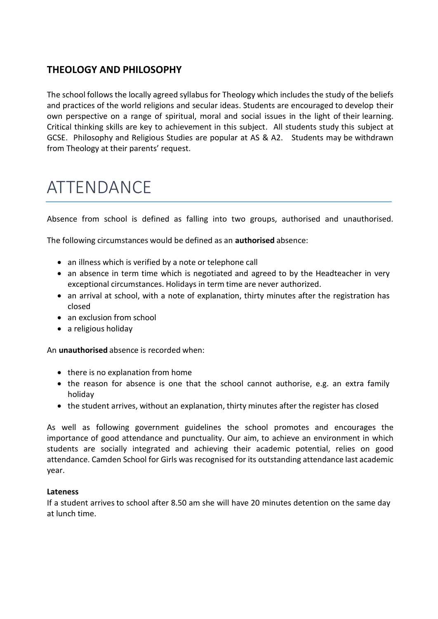### **THEOLOGY AND PHILOSOPHY**

The school follows the locally agreed syllabus for Theology which includes the study of the beliefs and practices of the world religions and secular ideas. Students are encouraged to develop their own perspective on a range of spiritual, moral and social issues in the light of their learning. Critical thinking skills are key to achievement in this subject. All students study this subject at GCSE. Philosophy and Religious Studies are popular at AS & A2. Students may be withdrawn from Theology at their parents' request.

## ATTENDANCE

Absence from school is defined as falling into two groups, authorised and unauthorised.

The following circumstances would be defined as an **authorised** absence:

- an illness which is verified by a note or telephone call
- an absence in term time which is negotiated and agreed to by the Headteacher in very exceptional circumstances. Holidays in term time are never authorized.
- an arrival at school, with a note of explanation, thirty minutes after the registration has closed
- an exclusion from school
- a religious holiday

An **unauthorised** absence is recorded when:

- there is no explanation from home
- the reason for absence is one that the school cannot authorise, e.g. an extra family holiday
- the student arrives, without an explanation, thirty minutes after the register has closed

As well as following government guidelines the school promotes and encourages the importance of good attendance and punctuality. Our aim, to achieve an environment in which students are socially integrated and achieving their academic potential, relies on good attendance. Camden School for Girls was recognised for its outstanding attendance last academic year.

#### **Lateness**

If a student arrives to school after 8.50 am she will have 20 minutes detention on the same day at lunch time.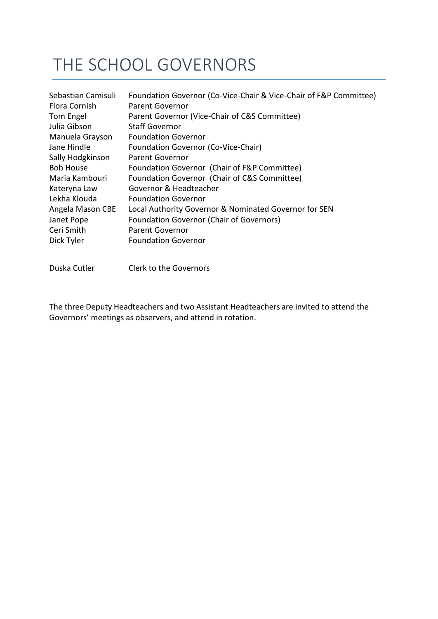# THE SCHOOL GOVERNORS

| Sebastian Camisuli | Foundation Governor (Co-Vice-Chair & Vice-Chair of F&P Committee) |
|--------------------|-------------------------------------------------------------------|
| Flora Cornish      | Parent Governor                                                   |
| Tom Engel          | Parent Governor (Vice-Chair of C&S Committee)                     |
| Julia Gibson       | <b>Staff Governor</b>                                             |
| Manuela Grayson    | <b>Foundation Governor</b>                                        |
| Jane Hindle        | Foundation Governor (Co-Vice-Chair)                               |
| Sally Hodgkinson   | Parent Governor                                                   |
| <b>Bob House</b>   | Foundation Governor (Chair of F&P Committee)                      |
| Maria Kambouri     | Foundation Governor (Chair of C&S Committee)                      |
| Kateryna Law       | Governor & Headteacher                                            |
| Lekha Klouda       | <b>Foundation Governor</b>                                        |
| Angela Mason CBE   | Local Authority Governor & Nominated Governor for SEN             |
| Janet Pope         | <b>Foundation Governor (Chair of Governors)</b>                   |
| Ceri Smith         | <b>Parent Governor</b>                                            |
| Dick Tyler         | <b>Foundation Governor</b>                                        |
|                    |                                                                   |

Duska Cutler Clerk to the Governors

The three Deputy Headteachers and two Assistant Headteachers are invited to attend the Governors' meetings as observers, and attend in rotation.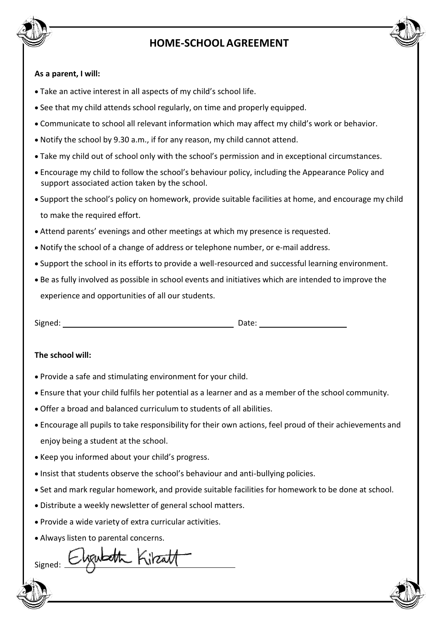

# HOME SCHOOL AGREEMENT **HOME-SCHOOL AGREEMENT**

#### **As a parent, I will:**

- Take an active interest in all aspects of my child's school life.
- See that my child attends school regularly, on time and properly equipped.
- Communicate to school all relevant information which may affect my child's work or behavior.
- Notify the school by 9.30 a.m., if for any reason, my child cannot attend.
- Take my child out of school only with the school's permission and in exceptional circumstances.
- Encourage my child to follow the school's behaviour policy, including the Appearance Policy and support associated action taken by the school.
- Support the school's policy on homework, provide suitable facilities at home, and encourage my child to make the required effort.
- Attend parents' evenings and other meetings at which my presence is requested.
- Notify the school of a change of address or telephone number, or e-mail address.
- Support the school in its efforts to provide a well-resourced and successful learning environment.
- Be as fully involved as possible in school events and initiatives which are intended to improve the experience and opportunities of all our students.

| Signed: | Date: |
|---------|-------|
|         |       |

#### **The school will:**

- Provide a safe and stimulating environment for your child.
- Ensure that your child fulfils her potential as a learner and as a member of the school community.
- Offer a broad and balanced curriculum to students of all abilities.
- Encourage all pupils to take responsibility for their own actions, feel proud of their achievements and enjoy being a student at the school.
- Keep you informed about your child's progress.
- Insist that students observe the school's behaviour and anti-bullying policies.
- Set and mark regular homework, and provide suitable facilities for homework to be done at school.
- Distribute a weekly newsletter of general school matters.
- Provide a wide variety of extra curricular activities.
- Always listen to parental concerns.

watte Kilizatt Signed: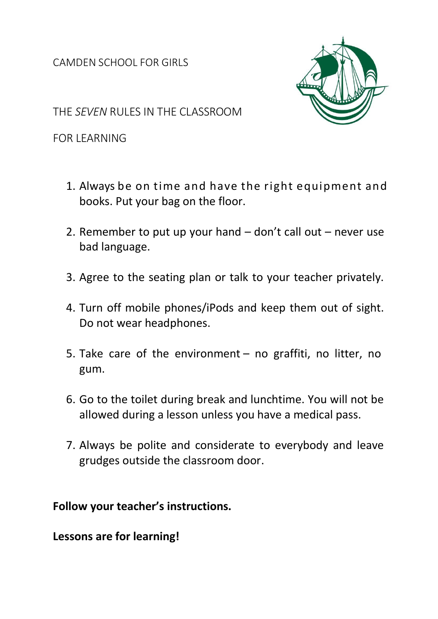CAMDEN SCHOOL FOR GIRLS



THE *SEVEN* RULES IN THE CLASSROOM

FOR LEARNING

- 1. Always be on time and have the right equipment and books. Put your bag on the floor.
- 2. Remember to put up your hand don't call out never use bad language.
- 3. Agree to the seating plan or talk to your teacher privately.
- 4. Turn off mobile phones/iPods and keep them out of sight. Do not wear headphones.
- 5. Take care of the environment no graffiti, no litter, no gum.
- 6. Go to the toilet during break and lunchtime. You will not be allowed during a lesson unless you have a medical pass.
- 7. Always be polite and considerate to everybody and leave grudges outside the classroom door.

**Follow your teacher's instructions.**

**Lessons are for learning!**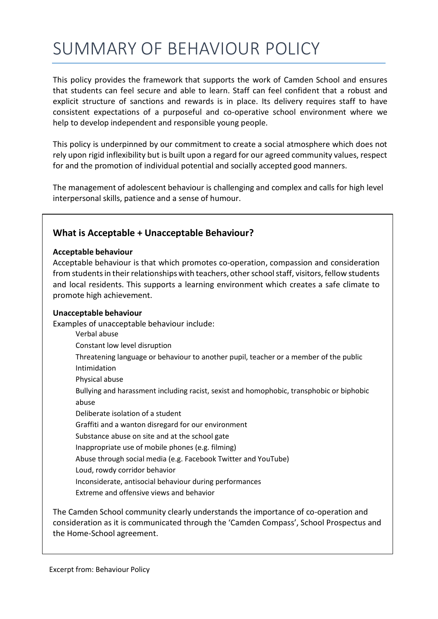# SUMMARY OF BEHAVIOUR POLICY

This policy provides the framework that supports the work of Camden School and ensures that students can feel secure and able to learn. Staff can feel confident that a robust and explicit structure of sanctions and rewards is in place. Its delivery requires staff to have consistent expectations of a purposeful and co-operative school environment where we help to develop independent and responsible young people.

This policy is underpinned by our commitment to create a social atmosphere which does not rely upon rigid inflexibility but is built upon a regard for our agreed community values, respect for and the promotion of individual potential and socially accepted good manners.

The management of adolescent behaviour is challenging and complex and calls for high level interpersonal skills, patience and a sense of humour.

#### **What is Acceptable + Unacceptable Behaviour?**

#### **Acceptable behaviour**

Acceptable behaviour is that which promotes co-operation, compassion and consideration from students in their relationships with teachers, other school staff, visitors, fellow students and local residents. This supports a learning environment which creates a safe climate to promote high achievement.

#### **Unacceptable behaviour**

Examples of unacceptable behaviour include:

- Verbal abuse
- Constant low level disruption
- Threatening language or behaviour to another pupil, teacher or a member of the public Intimidation
- Physical abuse
- Bullying and harassment including racist, sexist and homophobic, transphobic or biphobic abuse
- Deliberate isolation of a student
- Graffiti and a wanton disregard for our environment
- Substance abuse on site and at the school gate
- Inappropriate use of mobile phones (e.g. filming)
- Abuse through social media (e.g. Facebook Twitter and YouTube)
- Loud, rowdy corridor behavior
- Inconsiderate, antisocial behaviour during performances
- Extreme and offensive views and behavior

The Camden School community clearly understands the importance of co-operation and consideration as it is communicated through the 'Camden Compass', School Prospectus and the Home-School agreement.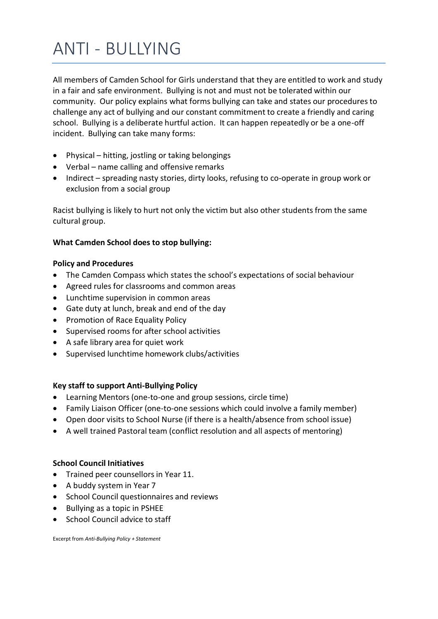# ANTI - BULLYING

All members of Camden School for Girls understand that they are entitled to work and study in a fair and safe environment. Bullying is not and must not be tolerated within our community. Our policy explains what forms bullying can take and states our proceduresto challenge any act of bullying and our constant commitment to create a friendly and caring school. Bullying is a deliberate hurtful action. It can happen repeatedly or be a one-off incident. Bullying can take many forms:

- Physical hitting, jostling or taking belongings
- Verbal name calling and offensive remarks
- Indirect spreading nasty stories, dirty looks, refusing to co-operate in group work or exclusion from a social group

Racist bullying is likely to hurt not only the victim but also other students from the same cultural group.

#### **What Camden School does to stop bullying:**

#### **Policy and Procedures**

- The Camden Compass which states the school's expectations of social behaviour
- Agreed rules for classrooms and common areas
- Lunchtime supervision in common areas
- Gate duty at lunch, break and end of the day
- Promotion of Race Equality Policy
- Supervised rooms for after school activities
- A safe library area for quiet work
- Supervised lunchtime homework clubs/activities

#### **Key staff to support Anti-Bullying Policy**

- Learning Mentors (one-to-one and group sessions, circle time)
- Family Liaison Officer (one-to-one sessions which could involve a family member)
- Open door visits to School Nurse (if there is a health/absence from school issue)
- A well trained Pastoral team (conflict resolution and all aspects of mentoring)

#### **School Council Initiatives**

- Trained peer counsellors in Year 11.
- A buddy system in Year 7
- School Council questionnaires and reviews
- Bullying as a topic in PSHEE
- School Council advice to staff

Excerpt from *Anti-Bullying Policy + Statement*